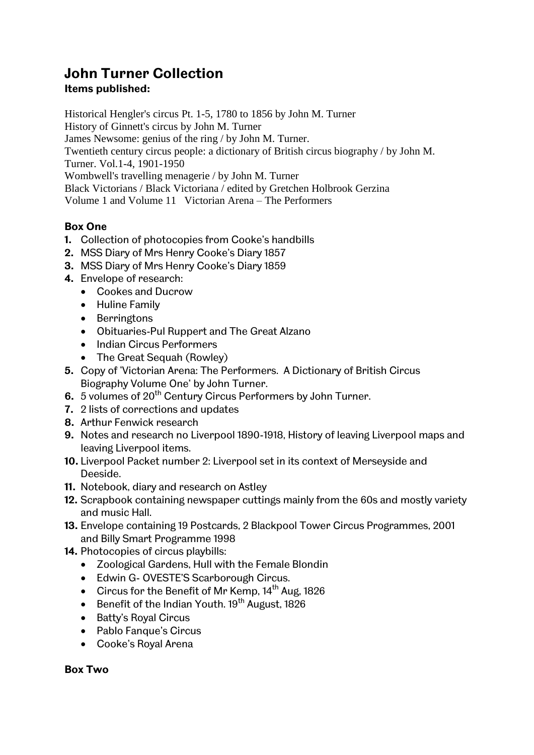# **John Turner Collection**

# **Items published:**

Historical Hengler's circus Pt. 1-5, 1780 to 1856 by John M. Turner History of Ginnett's circus by John M. Turner James Newsome: genius of the ring / by John M. Turner. Twentieth century circus people: a dictionary of British circus biography / by John M. Turner. Vol.1-4, 1901-1950 Wombwell's travelling menagerie / by John M. Turner Black Victorians / Black Victoriana / edited by Gretchen Holbrook Gerzina Volume 1 and Volume 11 Victorian Arena – The Performers

# **Box One**

- **1.** Collection of photocopies from Cooke's handbills
- **2.** MSS Diary of Mrs Henry Cooke's Diary 1857
- **3.** MSS Diary of Mrs Henry Cooke's Diary 1859
- **4.** Envelope of research:
	- Cookes and Ducrow
	- Huline Family
	- Berringtons
	- Obituaries-Pul Ruppert and The Great Alzano
	- Indian Circus Performers
	- The Great Sequah (Rowley)
- **5.** Copy of 'Victorian Arena: The Performers. A Dictionary of British Circus Biography Volume One' by John Turner.
- **6.** 5 volumes of 20<sup>th</sup> Century Circus Performers by John Turner.
- **7.** 2 lists of corrections and updates
- **8.** Arthur Fenwick research
- **9.** Notes and research no Liverpool 1890-1918, History of leaving Liverpool maps and leaving Liverpool items.
- **10.** Liverpool Packet number 2: Liverpool set in its context of Merseyside and Deeside.
- **11.** Notebook, diary and research on Astley
- **12.** Scrapbook containing newspaper cuttings mainly from the 60s and mostly variety and music Hall.
- **13.** Envelope containing 19 Postcards, 2 Blackpool Tower Circus Programmes, 2001 and Billy Smart Programme 1998
- **14.** Photocopies of circus playbills:
	- Zoological Gardens, Hull with the Female Blondin
	- Edwin G- OVESTE'S Scarborough Circus.
	- Circus for the Benefit of Mr Kemp,  $14<sup>th</sup>$  Aug, 1826
	- Benefit of the Indian Youth,  $19<sup>th</sup>$  August, 1826
	- Batty's Royal Circus
	- Pablo Fanque's Circus
	- Cooke's Royal Arena

**Box Two**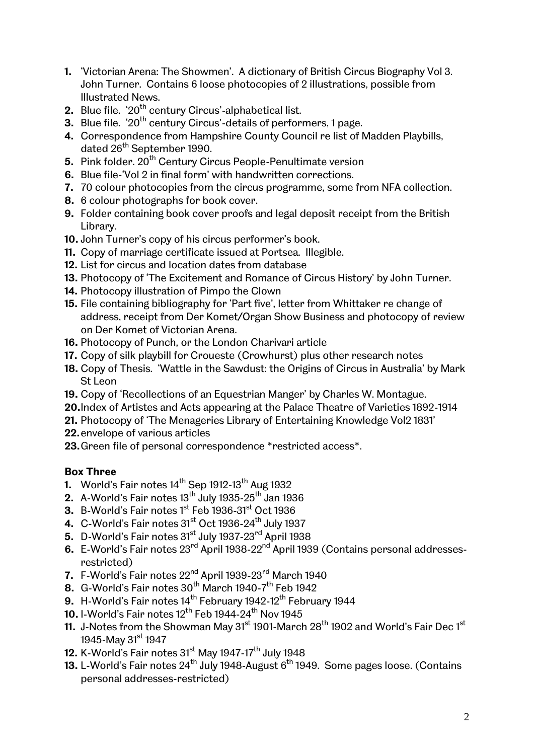- **1.** 'Victorian Arena: The Showmen'. A dictionary of British Circus Biography Vol 3. John Turner. Contains 6 loose photocopies of 2 illustrations, possible from Illustrated News.
- 2. Blue file. '20<sup>th</sup> century Circus'-alphabetical list.
- **3.** Blue file. '20<sup>th</sup> century Circus'-details of performers, 1 page.
- **4.** Correspondence from Hampshire County Council re list of Madden Playbills, dated 26<sup>th</sup> September 1990.
- **5.** Pink folder. 20<sup>th</sup> Century Circus People-Penultimate version
- **6.** Blue file-'Vol 2 in final form' with handwritten corrections.
- **7.** 70 colour photocopies from the circus programme, some from NFA collection.
- **8.** 6 colour photographs for book cover.
- **9.** Folder containing book cover proofs and legal deposit receipt from the British Library.
- **10.** John Turner's copy of his circus performer's book.
- **11.** Copy of marriage certificate issued at Portsea. Illegible.
- **12.** List for circus and location dates from database
- **13.** Photocopy of 'The Excitement and Romance of Circus History' by John Turner.
- **14.** Photocopy illustration of Pimpo the Clown
- **15.** File containing bibliography for 'Part five', letter from Whittaker re change of address, receipt from Der Komet/Organ Show Business and photocopy of review on Der Komet of Victorian Arena.
- **16.** Photocopy of Punch, or the London Charivari article
- **17.** Copy of silk playbill for Croueste (Crowhurst) plus other research notes
- **18.** Copy of Thesis. 'Wattle in the Sawdust: the Origins of Circus in Australia' by Mark St Leon
- **19.** Copy of 'Recollections of an Equestrian Manger' by Charles W. Montague.
- **20.**Index of Artistes and Acts appearing at the Palace Theatre of Varieties 1892-1914
- **21.** Photocopy of 'The Menageries Library of Entertaining Knowledge Vol2 1831'
- **22.**envelope of various articles
- **23.**Green file of personal correspondence \*restricted access\*.

## **Box Three**

- **1.** World's Fair notes 14<sup>th</sup> Sep 1912-13<sup>th</sup> Aug 1932
- **2.** A-World's Fair notes 13 $^{\text{th}}$  July 1935-25 $^{\text{th}}$  Jan 1936
- **3.** B-World's Fair notes 1<sup>st</sup> Feb 1936-31<sup>st</sup> Oct 1936
- 4. C-World's Fair notes 31<sup>st</sup> Oct 1936-24<sup>th</sup> July 1937
- 5. D-World's Fair notes 31<sup>st</sup> July 1937-23<sup>rd</sup> April 1938
- **6.** E-World's Fair notes 23rd April 1938-22nd April 1939 (Contains personal addressesrestricted)
- **7.** F-World's Fair notes 22nd April 1939-23rd March 1940
- **8.**  $\,$  G-World's Fair notes  $30^{th}$  March 1940-7 $^{th}$  Feb 1942
- **9.** H-World's Fair notes 14<sup>th</sup> February 1942-12<sup>th</sup> February 1944
- **10.** I-World's Fair notes 12<sup>th</sup> Feb 1944-24<sup>th</sup> Nov 1945
- **11.** J-Notes from the Showman May 31<sup>st</sup> 1901-March 28<sup>th</sup> 1902 and World's Fair Dec 1<sup>st</sup> 1945-May 31<sup>st</sup> 1947
- **12.** K-World's Fair notes 31<sup>st</sup> May 1947-17<sup>th</sup> July 1948
- **13.** L-World's Fair notes 24<sup>th</sup> July 1948-August 6<sup>th</sup> 1949. Some pages loose. (Contains personal addresses-restricted)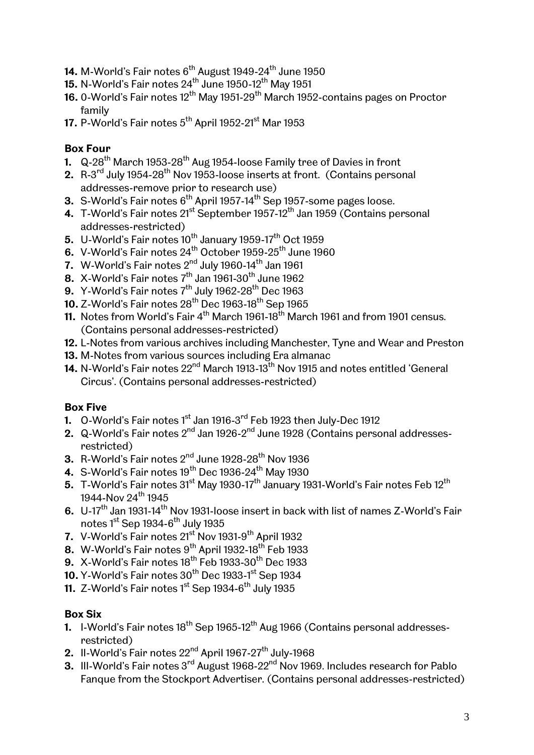- 14. M-World's Fair notes 6<sup>th</sup> August 1949-24<sup>th</sup> June 1950
- **15.** N-World's Fair notes  $24^{th}$  June 1950-12<sup>th</sup> May 1951
- **16.** 0-World's Fair notes 12<sup>th</sup> May 1951-29<sup>th</sup> March 1952-contains pages on Proctor family
- 17. P-World's Fair notes 5<sup>th</sup> April 1952-21<sup>st</sup> Mar 1953

# **Box Four**

- **1.** Q-28<sup>th</sup> March 1953-28<sup>th</sup> Aug 1954-loose Family tree of Davies in front
- **2.** R-3<sup>rd</sup> July 1954-28<sup>th</sup> Nov 1953-loose inserts at front. (Contains personal addresses-remove prior to research use)
- **3.** S-World's Fair notes 6<sup>th</sup> April 1957-14<sup>th</sup> Sep 1957-some pages loose.
- **4.** T-World's Fair notes 21<sup>st</sup> September 1957-12<sup>th</sup> Jan 1959 (Contains personal addresses-restricted)
- $\mathbf{5.}\ \mathsf{U}\text{-}\mathsf{World}$ 's Fair notes 10 $^{\text{th}}$  January 1959-17 $^{\text{th}}$  Oct 1959
- **6.** V-World's Fair notes 24<sup>th</sup> October 1959-25<sup>th</sup> June 1960
- **7.** W-World's Fair notes 2<sup>nd</sup> July 1960-14<sup>th</sup> Jan 1961
- **8.** X-World's Fair notes  $7<sup>th</sup>$  Jan 1961-30<sup>th</sup> June 1962
- **9.** Y-World's Fair notes 7<sup>th</sup> July 1962-28<sup>th</sup> Dec 1963
- 10. Z-World's Fair notes 28<sup>th</sup> Dec 1963-18<sup>th</sup> Sep 1965
- **11.** Notes from World's Fair 4<sup>th</sup> March 1961-18<sup>th</sup> March 1961 and from 1901 census. (Contains personal addresses-restricted)
- **12.** L-Notes from various archives including Manchester, Tyne and Wear and Preston
- **13.** M-Notes from various sources including Era almanac
- **14.** N-World's Fair notes 22<sup>nd</sup> March 1913-13<sup>th</sup> Nov 1915 and notes entitled 'General Circus'. (Contains personal addresses-restricted)

## **Box Five**

- **1.** O-World's Fair notes 1<sup>st</sup> Jan 1916-3<sup>rd</sup> Feb 1923 then July-Dec 1912
- **2.** Q-World's Fair notes 2<sup>nd</sup> Jan 1926-2<sup>nd</sup> June 1928 (Contains personal addressesrestricted)
- **3.** R-World's Fair notes 2<sup>nd</sup> June 1928-28<sup>th</sup> Nov 1936
- **4.** S-World's Fair notes 19<sup>th</sup> Dec 1936-24<sup>th</sup> May 1930
- **5.** T-World's Fair notes 31<sup>st</sup> May 1930-17<sup>th</sup> January 1931-World's Fair notes Feb 12<sup>th</sup> 1944-Nov  $24^{th}$  1945
- **6.** U-17<sup>th</sup> Jan 1931-14<sup>th</sup> Nov 1931-loose insert in back with list of names Z-World's Fair notes 1<sup>st</sup> Sep 1934-6<sup>th</sup> July 1935
- **7.** V-World's Fair notes 21<sup>st</sup> Nov 1931-9<sup>th</sup> April 1932
- **8.** W-World's Fair notes 9th April 1932-18th Feb 1933
- **9.** X-World's Fair notes 18<sup>th</sup> Feb 1933-30<sup>th</sup> Dec 1933
- **10.** Y-World's Fair notes 30<sup>th</sup> Dec 1933-1<sup>st</sup> Sep 1934
- **11.** Z-World's Fair notes 1<sup>st</sup> Sep 1934-6<sup>th</sup> July 1935

## **Box Six**

- **1.** I-World's Fair notes 18<sup>th</sup> Sep 1965-12<sup>th</sup> Aug 1966 (Contains personal addressesrestricted)
- 2. Il-World's Fair notes 22<sup>nd</sup> April 1967-27<sup>th</sup> July-1968
- **3.** III-World's Fair notes 3<sup>rd</sup> August 1968-22<sup>nd</sup> Nov 1969. Includes research for Pablo Fanque from the Stockport Advertiser. (Contains personal addresses-restricted)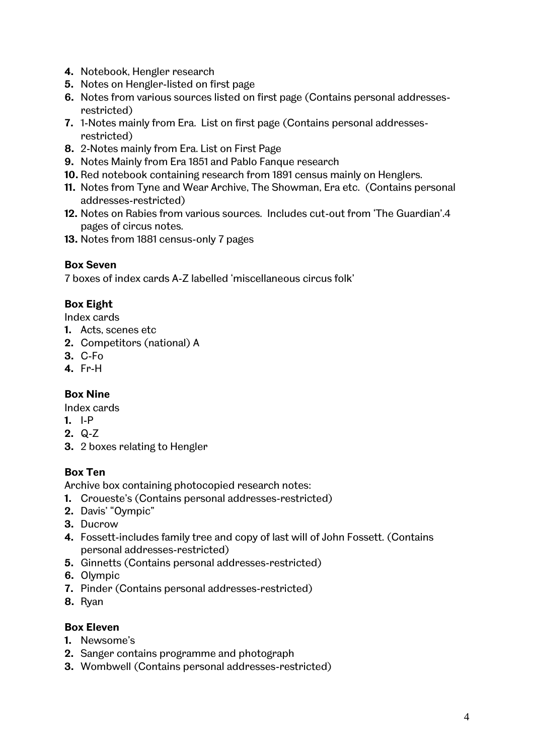- **4.** Notebook, Hengler research
- **5.** Notes on Hengler-listed on first page
- **6.** Notes from various sources listed on first page (Contains personal addressesrestricted)
- **7.** 1-Notes mainly from Era. List on first page (Contains personal addressesrestricted)
- **8.** 2-Notes mainly from Era. List on First Page
- **9.** Notes Mainly from Era 1851 and Pablo Fanque research
- **10.** Red notebook containing research from 1891 census mainly on Henglers.
- **11.** Notes from Tyne and Wear Archive, The Showman, Era etc. (Contains personal addresses-restricted)
- **12.** Notes on Rabies from various sources. Includes cut-out from 'The Guardian'.4 pages of circus notes.
- **13.** Notes from 1881 census-only 7 pages

#### **Box Seven**

7 boxes of index cards A-Z labelled 'miscellaneous circus folk'

#### **Box Eight**

Index cards

- **1.** Acts, scenes etc
- **2.** Competitors (national) A
- **3.** C-Fo
- **4.** Fr-H

## **Box Nine**

Index cards

- **1.** I-P
- **2.** Q-Z
- **3.** 2 boxes relating to Hengler

#### **Box Ten**

Archive box containing photocopied research notes:

- **1.** Croueste's (Contains personal addresses-restricted)
- **2.** Davis' "Oympic"
- **3.** Ducrow
- **4.** Fossett-includes family tree and copy of last will of John Fossett. (Contains personal addresses-restricted)
- **5.** Ginnetts (Contains personal addresses-restricted)
- **6.** Olympic
- **7.** Pinder (Contains personal addresses-restricted)
- **8.** Ryan

#### **Box Eleven**

- **1.** Newsome's
- **2.** Sanger contains programme and photograph
- **3.** Wombwell (Contains personal addresses-restricted)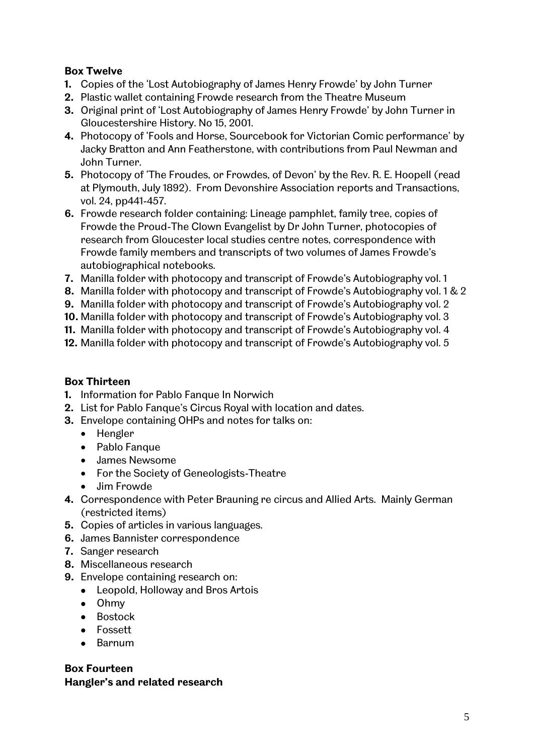## **Box Twelve**

- **1.** Copies of the 'Lost Autobiography of James Henry Frowde' by John Turner
- **2.** Plastic wallet containing Frowde research from the Theatre Museum
- **3.** Original print of 'Lost Autobiography of James Henry Frowde' by John Turner in Gloucestershire History. No 15, 2001.
- **4.** Photocopy of 'Fools and Horse, Sourcebook for Victorian Comic performance' by Jacky Bratton and Ann Featherstone, with contributions from Paul Newman and John Turner.
- **5.** Photocopy of 'The Froudes, or Frowdes, of Devon' by the Rev. R. E. Hoopell (read at Plymouth, July 1892). From Devonshire Association reports and Transactions, vol. 24, pp441-457.
- **6.** Frowde research folder containing: Lineage pamphlet, family tree, copies of Frowde the Proud-The Clown Evangelist by Dr John Turner, photocopies of research from Gloucester local studies centre notes, correspondence with Frowde family members and transcripts of two volumes of James Frowde's autobiographical notebooks.
- **7.** Manilla folder with photocopy and transcript of Frowde's Autobiography vol. 1
- **8.** Manilla folder with photocopy and transcript of Frowde's Autobiography vol. 1 & 2
- **9.** Manilla folder with photocopy and transcript of Frowde's Autobiography vol. 2
- **10.** Manilla folder with photocopy and transcript of Frowde's Autobiography vol. 3
- **11.** Manilla folder with photocopy and transcript of Frowde's Autobiography vol. 4
- **12.** Manilla folder with photocopy and transcript of Frowde's Autobiography vol. 5

## **Box Thirteen**

- **1.** Information for Pablo Fanque In Norwich
- **2.** List for Pablo Fanque's Circus Royal with location and dates.
- **3.** Envelope containing OHPs and notes for talks on:
	- Hengler
	- Pablo Fanque
	- James Newsome
	- For the Society of Geneologists-Theatre
	- Jim Frowde
- **4.** Correspondence with Peter Brauning re circus and Allied Arts. Mainly German (restricted items)
- **5.** Copies of articles in various languages.
- **6.** James Bannister correspondence
- **7.** Sanger research
- **8.** Miscellaneous research
- **9.** Envelope containing research on:
	- Leopold, Holloway and Bros Artois
	- Ohmy
	- Bostock
	- Fossett
	- Barnum

# **Box Fourteen Hangler's and related research**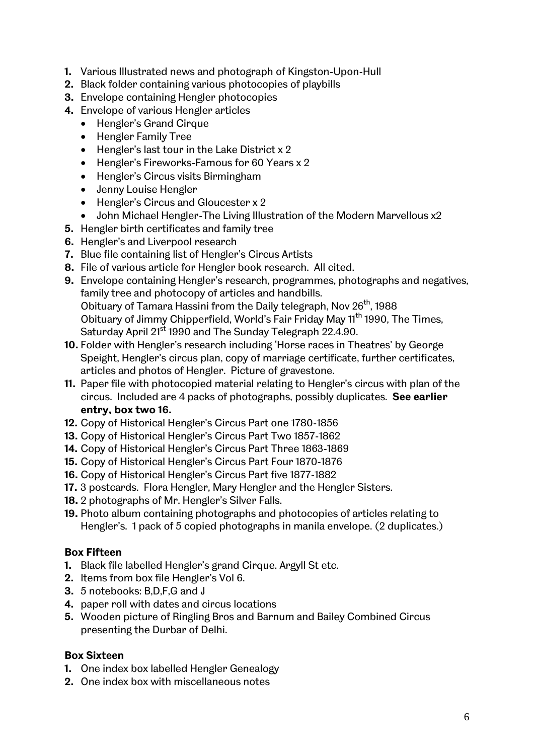- **1.** Various Illustrated news and photograph of Kingston-Upon-Hull
- **2.** Black folder containing various photocopies of playbills
- **3.** Envelope containing Hengler photocopies
- **4.** Envelope of various Hengler articles
	- Hengler's Grand Cirque
	- Hengler Family Tree
	- $\bullet$  Hengler's last tour in the Lake District x 2
	- Hengler's Fireworks-Famous for 60 Years x 2
	- Hengler's Circus visits Birmingham
	- Jenny Louise Hengler
	- Hengler's Circus and Gloucester x 2
	- John Michael Hengler-The Living Illustration of the Modern Marvellous x2
- **5.** Hengler birth certificates and family tree
- **6.** Hengler's and Liverpool research
- **7.** Blue file containing list of Hengler's Circus Artists
- **8.** File of various article for Hengler book research. All cited.
- **9.** Envelope containing Hengler's research, programmes, photographs and negatives, family tree and photocopy of articles and handbills. Obituary of Tamara Hassini from the Daily telegraph, Nov 26<sup>th</sup>, 1988 Obituary of Jimmy Chipperfield, World's Fair Friday May 11<sup>th</sup> 1990, The Times, Saturday April 21<sup>st</sup> 1990 and The Sunday Telegraph 22.4.90.
- **10.** Folder with Hengler's research including 'Horse races in Theatres' by George Speight, Hengler's circus plan, copy of marriage certificate, further certificates, articles and photos of Hengler. Picture of gravestone.
- **11.** Paper file with photocopied material relating to Hengler's circus with plan of the circus. Included are 4 packs of photographs, possibly duplicates. **See earlier entry, box two 16.**
- **12.** Copy of Historical Hengler's Circus Part one 1780-1856
- **13.** Copy of Historical Hengler's Circus Part Two 1857-1862
- **14.** Copy of Historical Hengler's Circus Part Three 1863-1869
- **15.** Copy of Historical Hengler's Circus Part Four 1870-1876
- **16.** Copy of Historical Hengler's Circus Part five 1877-1882
- **17.** 3 postcards. Flora Hengler, Mary Hengler and the Hengler Sisters.
- **18.** 2 photographs of Mr. Hengler's Silver Falls.
- **19.** Photo album containing photographs and photocopies of articles relating to Hengler's. 1 pack of 5 copied photographs in manila envelope. (2 duplicates.)

#### **Box Fifteen**

- **1.** Black file labelled Hengler's grand Cirque. Argyll St etc.
- **2.** Items from box file Hengler's Vol 6.
- **3.** 5 notebooks: B,D,F,G and J
- **4.** paper roll with dates and circus locations
- **5.** Wooden picture of Ringling Bros and Barnum and Bailey Combined Circus presenting the Durbar of Delhi.

## **Box Sixteen**

- **1.** One index box labelled Hengler Genealogy
- **2.** One index box with miscellaneous notes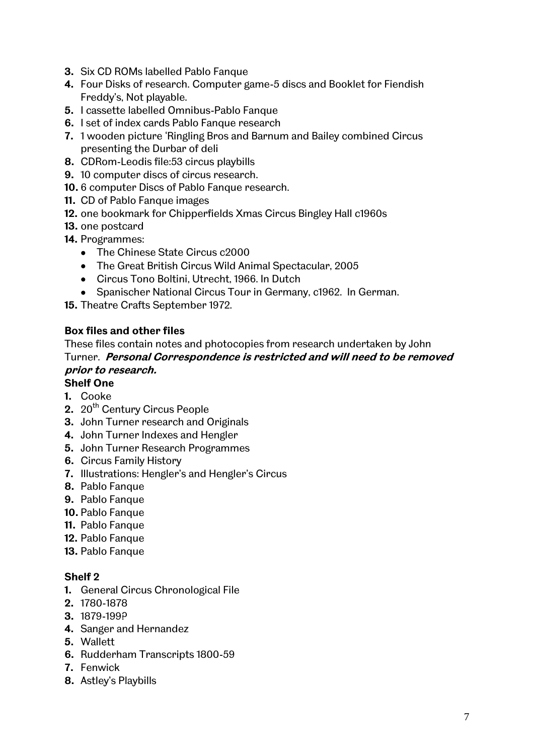- **3.** Six CD ROMs labelled Pablo Fanque
- **4.** Four Disks of research. Computer game-5 discs and Booklet for Fiendish Freddy's, Not playable.
- **5.** I cassette labelled Omnibus-Pablo Fanque
- **6.** I set of index cards Pablo Fanque research
- **7.** 1 wooden picture 'Ringling Bros and Barnum and Bailey combined Circus presenting the Durbar of deli
- **8.** CDRom-Leodis file:53 circus playbills
- **9.** 10 computer discs of circus research.
- **10.** 6 computer Discs of Pablo Fanque research.
- **11.** CD of Pablo Fanque images
- **12.** one bookmark for Chipperfields Xmas Circus Bingley Hall c1960s
- **13.** one postcard
- **14.** Programmes:
	- The Chinese State Circus c2000
	- The Great British Circus Wild Animal Spectacular, 2005
	- Circus Tono Boltini, Utrecht, 1966. In Dutch
	- Spanischer National Circus Tour in Germany, c1962. In German.

**15.** Theatre Crafts September 1972.

#### **Box files and other files**

These files contain notes and photocopies from research undertaken by John Turner. **Personal Correspondence is restricted and will need to be removed prior to research.**

# **Shelf One**

- **1.** Cooke
- 2. 20<sup>th</sup> Century Circus People
- **3.** John Turner research and Originals
- **4.** John Turner Indexes and Hengler
- **5.** John Turner Research Programmes
- **6.** Circus Family History
- **7.** Illustrations: Hengler's and Hengler's Circus
- **8.** Pablo Fanque
- **9.** Pablo Fanque
- **10.** Pablo Fanque
- **11.** Pablo Fanque
- **12.** Pablo Fanque
- **13.** Pablo Fanque

#### **Shelf 2**

- **1.** General Circus Chronological File
- **2.** 1780-1878
- **3.** 1879-199?
- **4.** Sanger and Hernandez
- **5.** Wallett
- **6.** Rudderham Transcripts 1800-59
- **7.** Fenwick
- **8.** Astley's Playbills